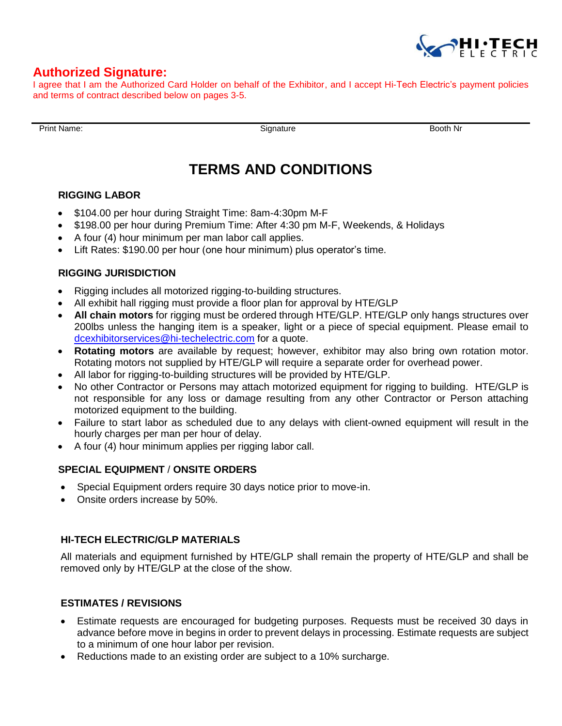

# **Authorized Signature:**

I agree that I am the Authorized Card Holder on behalf of the Exhibitor, and I accept Hi-Tech Electric's payment policies and terms of contract described below on pages 3-5.

Print Name: **Booth Nr** Booth Nr Booth Nr Booth Nr Booth Nr Booth Nr Booth Nr Booth Nr

# **TERMS AND CONDITIONS**

#### **RIGGING LABOR**

- \$104.00 per hour during Straight Time: 8am-4:30pm M-F
- \$198.00 per hour during Premium Time: After 4:30 pm M-F, Weekends, & Holidays
- A four (4) hour minimum per man labor call applies.
- Lift Rates: \$190.00 per hour (one hour minimum) plus operator's time.

#### **RIGGING JURISDICTION**

- Rigging includes all motorized rigging-to-building structures.
- All exhibit hall rigging must provide a floor plan for approval by HTE/GLP
- **All chain motors** for rigging must be ordered through HTE/GLP. HTE/GLP only hangs structures over 200lbs unless the hanging item is a speaker, light or a piece of special equipment. Please email to [dcexhibitorservices@hi-techelectric.com](mailto:dcexhibitorservices@hi-techelectric.com) for a quote.
- **Rotating motors** are available by request; however, exhibitor may also bring own rotation motor. Rotating motors not supplied by HTE/GLP will require a separate order for overhead power.
- All labor for rigging-to-building structures will be provided by HTE/GLP.
- No other Contractor or Persons may attach motorized equipment for rigging to building. HTE/GLP is not responsible for any loss or damage resulting from any other Contractor or Person attaching motorized equipment to the building.
- Failure to start labor as scheduled due to any delays with client-owned equipment will result in the hourly charges per man per hour of delay.
- A four (4) hour minimum applies per rigging labor call.

## **SPECIAL EQUIPMENT** / **ONSITE ORDERS**

- Special Equipment orders require 30 days notice prior to move-in.
- Onsite orders increase by 50%.

## **HI-TECH ELECTRIC/GLP MATERIALS**

All materials and equipment furnished by HTE/GLP shall remain the property of HTE/GLP and shall be removed only by HTE/GLP at the close of the show.

#### **ESTIMATES / REVISIONS**

- Estimate requests are encouraged for budgeting purposes. Requests must be received 30 days in advance before move in begins in order to prevent delays in processing. Estimate requests are subject to a minimum of one hour labor per revision.
- Reductions made to an existing order are subject to a 10% surcharge.